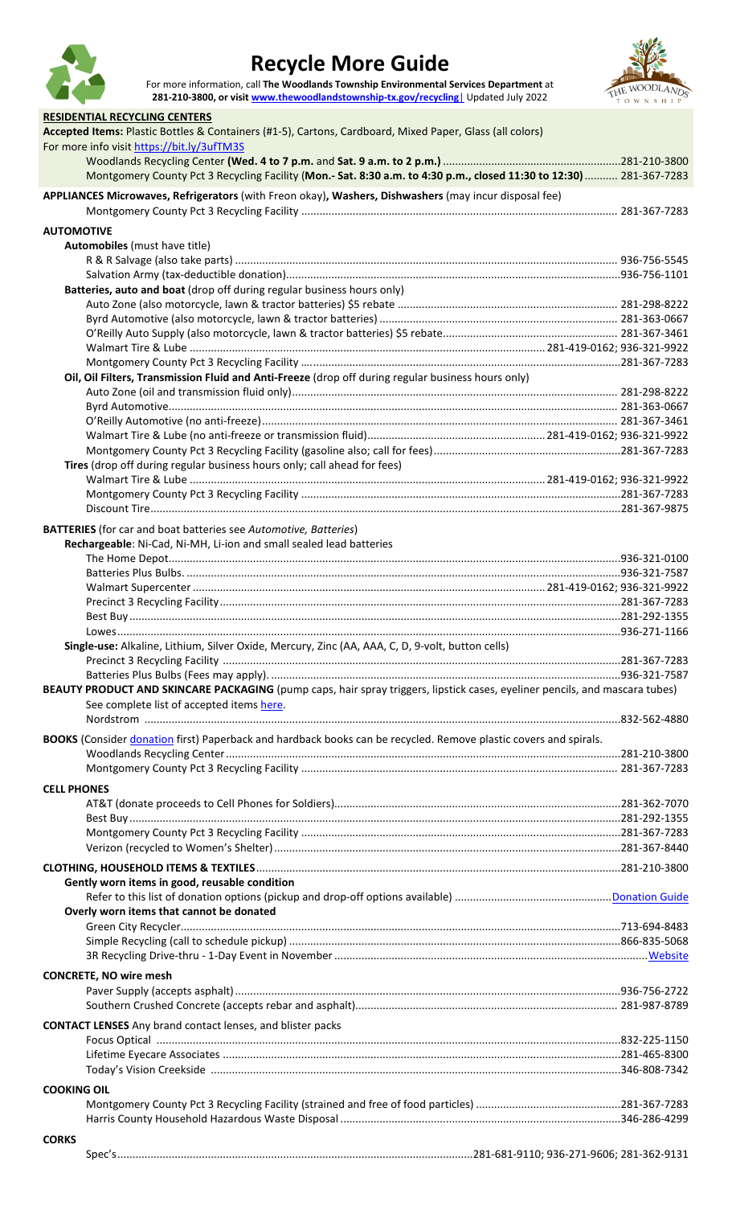

## **Recycle More Guide**

For more information, call **The Woodlands Township Environmental Services Department** at **281-210-3800, or visi[t www.thewoodlandstownship-tx.gov/recycling](http://www.thewoodlandstownship-tx.gov/recycling|)**| Updated July 2022



| <b>RESIDENTIAL RECYCLING CENTERS</b>                                                                                                                   |  |
|--------------------------------------------------------------------------------------------------------------------------------------------------------|--|
| Accepted Items: Plastic Bottles & Containers (#1-5), Cartons, Cardboard, Mixed Paper, Glass (all colors)<br>For more info visit https://bit.ly/3ufTM3S |  |
| Montgomery County Pct 3 Recycling Facility (Mon.- Sat. 8:30 a.m. to 4:30 p.m., closed 11:30 to 12:30)  281-367-7283                                    |  |
| APPLIANCES Microwaves, Refrigerators (with Freon okay), Washers, Dishwashers (may incur disposal fee)                                                  |  |
| <b>AUTOMOTIVE</b>                                                                                                                                      |  |
| Automobiles (must have title)                                                                                                                          |  |
|                                                                                                                                                        |  |
|                                                                                                                                                        |  |
| Batteries, auto and boat (drop off during regular business hours only)                                                                                 |  |
|                                                                                                                                                        |  |
|                                                                                                                                                        |  |
|                                                                                                                                                        |  |
|                                                                                                                                                        |  |
| Oil, Oil Filters, Transmission Fluid and Anti-Freeze (drop off during regular business hours only)                                                     |  |
|                                                                                                                                                        |  |
|                                                                                                                                                        |  |
|                                                                                                                                                        |  |
|                                                                                                                                                        |  |
| Tires (drop off during regular business hours only; call ahead for fees)                                                                               |  |
|                                                                                                                                                        |  |
|                                                                                                                                                        |  |
|                                                                                                                                                        |  |
| <b>BATTERIES</b> (for car and boat batteries see Automotive, Batteries)                                                                                |  |
| Rechargeable: Ni-Cad, Ni-MH, Li-ion and small sealed lead batteries                                                                                    |  |
|                                                                                                                                                        |  |
|                                                                                                                                                        |  |
|                                                                                                                                                        |  |
|                                                                                                                                                        |  |
|                                                                                                                                                        |  |
| Single-use: Alkaline, Lithium, Silver Oxide, Mercury, Zinc (AA, AAA, C, D, 9-volt, button cells)                                                       |  |
|                                                                                                                                                        |  |
| BEAUTY PRODUCT AND SKINCARE PACKAGING (pump caps, hair spray triggers, lipstick cases, eyeliner pencils, and mascara tubes)                            |  |
| See complete list of accepted items here.                                                                                                              |  |
|                                                                                                                                                        |  |
| BOOKS (Consider donation first) Paperback and hardback books can be recycled. Remove plastic covers and spirals.                                       |  |
|                                                                                                                                                        |  |
|                                                                                                                                                        |  |
| <b>CELL PHONES</b>                                                                                                                                     |  |
|                                                                                                                                                        |  |
|                                                                                                                                                        |  |
|                                                                                                                                                        |  |
|                                                                                                                                                        |  |
|                                                                                                                                                        |  |
| Gently worn items in good, reusable condition                                                                                                          |  |
| Overly worn items that cannot be donated                                                                                                               |  |
|                                                                                                                                                        |  |
|                                                                                                                                                        |  |
|                                                                                                                                                        |  |
| <b>CONCRETE, NO wire mesh</b>                                                                                                                          |  |
|                                                                                                                                                        |  |
|                                                                                                                                                        |  |
| <b>CONTACT LENSES</b> Any brand contact lenses, and blister packs                                                                                      |  |
|                                                                                                                                                        |  |
|                                                                                                                                                        |  |
|                                                                                                                                                        |  |
| <b>COOKING OIL</b>                                                                                                                                     |  |
|                                                                                                                                                        |  |
|                                                                                                                                                        |  |
| <b>CORKS</b>                                                                                                                                           |  |
|                                                                                                                                                        |  |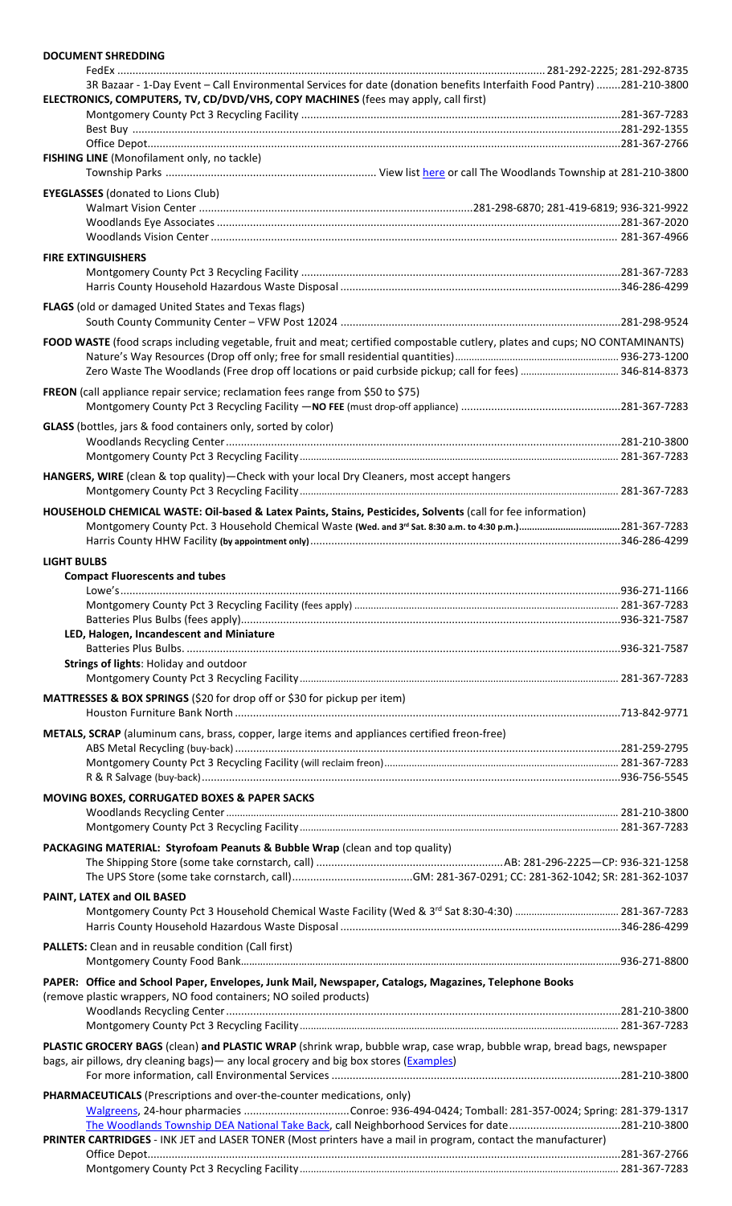| <b>DOCUMENT SHREDDING</b>                                                                                                                                                                                         |  |
|-------------------------------------------------------------------------------------------------------------------------------------------------------------------------------------------------------------------|--|
|                                                                                                                                                                                                                   |  |
| 3R Bazaar - 1-Day Event - Call Environmental Services for date (donation benefits Interfaith Food Pantry) 281-210-3800<br>ELECTRONICS, COMPUTERS, TV, CD/DVD/VHS, COPY MACHINES (fees may apply, call first)      |  |
|                                                                                                                                                                                                                   |  |
|                                                                                                                                                                                                                   |  |
| FISHING LINE (Monofilament only, no tackle)                                                                                                                                                                       |  |
| <b>EYEGLASSES</b> (donated to Lions Club)                                                                                                                                                                         |  |
|                                                                                                                                                                                                                   |  |
|                                                                                                                                                                                                                   |  |
| <b>FIRE EXTINGUISHERS</b>                                                                                                                                                                                         |  |
| <b>FLAGS</b> (old or damaged United States and Texas flags)                                                                                                                                                       |  |
|                                                                                                                                                                                                                   |  |
| FOOD WASTE (food scraps including vegetable, fruit and meat; certified compostable cutlery, plates and cups; NO CONTAMINANTS)                                                                                     |  |
| FREON (call appliance repair service; reclamation fees range from \$50 to \$75)                                                                                                                                   |  |
| GLASS (bottles, jars & food containers only, sorted by color)                                                                                                                                                     |  |
|                                                                                                                                                                                                                   |  |
|                                                                                                                                                                                                                   |  |
| HANGERS, WIRE (clean & top quality)-Check with your local Dry Cleaners, most accept hangers                                                                                                                       |  |
| HOUSEHOLD CHEMICAL WASTE: Oil-based & Latex Paints, Stains, Pesticides, Solvents (call for fee information)                                                                                                       |  |
|                                                                                                                                                                                                                   |  |
| <b>LIGHT BULBS</b>                                                                                                                                                                                                |  |
| <b>Compact Fluorescents and tubes</b>                                                                                                                                                                             |  |
|                                                                                                                                                                                                                   |  |
|                                                                                                                                                                                                                   |  |
| LED, Halogen, Incandescent and Miniature                                                                                                                                                                          |  |
| Strings of lights: Holiday and outdoor                                                                                                                                                                            |  |
| MATTRESSES & BOX SPRINGS (\$20 for drop off or \$30 for pickup per item)                                                                                                                                          |  |
| METALS, SCRAP (aluminum cans, brass, copper, large items and appliances certified freon-free)                                                                                                                     |  |
|                                                                                                                                                                                                                   |  |
|                                                                                                                                                                                                                   |  |
| MOVING BOXES, CORRUGATED BOXES & PAPER SACKS                                                                                                                                                                      |  |
|                                                                                                                                                                                                                   |  |
|                                                                                                                                                                                                                   |  |
| PACKAGING MATERIAL: Styrofoam Peanuts & Bubble Wrap (clean and top quality)                                                                                                                                       |  |
|                                                                                                                                                                                                                   |  |
| PAINT, LATEX and OIL BASED                                                                                                                                                                                        |  |
|                                                                                                                                                                                                                   |  |
| <b>PALLETS:</b> Clean and in reusable condition (Call first)                                                                                                                                                      |  |
| PAPER: Office and School Paper, Envelopes, Junk Mail, Newspaper, Catalogs, Magazines, Telephone Books                                                                                                             |  |
| (remove plastic wrappers, NO food containers; NO soiled products)                                                                                                                                                 |  |
|                                                                                                                                                                                                                   |  |
| PLASTIC GROCERY BAGS (clean) and PLASTIC WRAP (shrink wrap, bubble wrap, case wrap, bubble wrap, bread bags, newspaper<br>bags, air pillows, dry cleaning bags) - any local grocery and big box stores (Examples) |  |
|                                                                                                                                                                                                                   |  |
| PHARMACEUTICALS (Prescriptions and over-the-counter medications, only)                                                                                                                                            |  |
| The Woodlands Township DEA National Take Back, call Neighborhood Services for date281-210-3800<br>PRINTER CARTRIDGES - INK JET and LASER TONER (Most printers have a mail in program, contact the manufacturer)   |  |
|                                                                                                                                                                                                                   |  |
|                                                                                                                                                                                                                   |  |